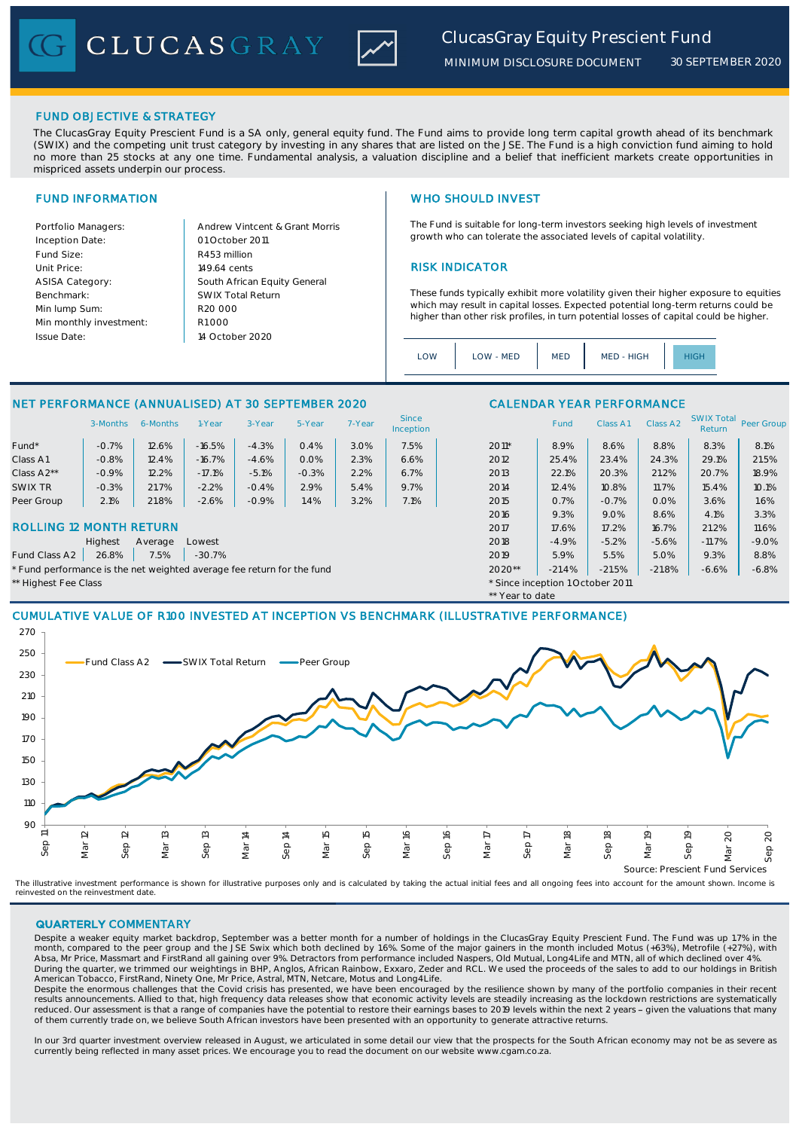CLUCASGRAY Z



The ClucasGray Equity Prescient Fund is a SA only, general equity fund. The Fund aims to provide long term capital growth ahead of its benchmark (SWIX) and the competing unit trust category by investing in any shares that are listed on the JSE. The Fund is a high conviction fund aiming to hold no more than 25 stocks at any one time. Fundamental analysis, a valuation discipline and a belief that inefficient markets create opportunities in mispriced assets underpin our process

Inception Date: Fund Size: R453 million ASISA Category: Benchmark: Min lump Sum: Min monthly investment: Issue Date:

Portfolio Managers: Andrew Vintcent & Grant Morris Unit Price: 149.64 cents RISK INDICATOR South African Equity General 149.64 cents  $R1$  000 01 October 2011 14 October 2020 R20 000 SWIX Total Return

### FUND INFORMATION NETWORK IN THE SERVICE SERVICE SERVICE SERVICE SERVICE SERVICE SERVICE SERVICE SERVICE SERVICE SERVICE SERVICE SERVICE SERVICE SERVICE SERVICE SERVICE SERVICE SERVICE SERVICE SERVICE SERVICE SERVICE SERVIC

The Fund is suitable for long-term investors seeking high levels of investment growth who can tolerate the associated levels of capital volatility.

These funds typically exhibit more volatility given their higher exposure to equities which may result in capital losses. Expected potential long-term returns could be higher than other risk profiles, in turn potential losses of capital could be higher.

| $\bigcap M$ | LOW - MED | <b>MED</b> | MED - HIGH |  |
|-------------|-----------|------------|------------|--|
|             |           |            |            |  |

\*\* Year to date

# NET PERFORMANCE (ANNUALISED) AT 30 SEPTEMBER 2020 CALENDAR YEAR PERFORMANCE

|                         | 3-Months | 6-Months | I-Year   | 3-Year  | 5-Year  | 7-Year | Since<br>Inception |       | Fund  | Class A1 | Class A2 | <b>SWIX Total</b><br>Return | Peer Gro |
|-------------------------|----------|----------|----------|---------|---------|--------|--------------------|-------|-------|----------|----------|-----------------------------|----------|
| Fund*                   | $-0.7%$  | 12.6%    | $-16.5%$ | $-4.3%$ | 0.4%    | 3.0%   | 7.5%               | 2011* | 8.9%  | 8.6%     | 8.8%     | 8.3%                        | 8.1%     |
| Class A1                | $-0.8%$  | 2.4%     | $-16.7%$ | $-4.6%$ | 0.0%    | 2.3%   | 6.6%               | 2012  | 25.4% | 23.4%    | 24.3%    | 29.1%                       | 21.5%    |
| Class A <sub>2</sub> ** | $-0.9%$  | 12.2%    | $-17.1%$ | $-5.1%$ | $-0.3%$ | 2.2%   | 6.7%               | 2013  | 22.1% | 20.3%    | 21.2%    | 20.7%                       | 18.9%    |
| SWIX TR                 | $-0.3%$  | 21.7%    | $-2.2%$  | $-0.4%$ | 2.9%    | 5.4%   | 9.7%               | 2014  | 12.4% | 10.8%    | 11.7%    | 15.4%                       | 10.1%    |
| Peer Group              | 2.1%     | 21.8%    | $-2.6%$  | $-0.9%$ | .4%     | 3.2%   | 7.1%               | 2015  | 0.7%  | $-0.7%$  | 0.0%     | 3.6%                        | 1.6%     |

### ROLLING 12 MONTH RETURN 2007 2017 2017 2017 2017 2017 2017 2018 2017 2018 2017 2028 21.2% 21.2% 21.2% 21.2% 21.2%

Highest Average Lowest 2018 -4.9% -5.2% -5.6% -11.7% -9.0%

Fund Class A2 | 26.8% | 7.5% | -30.7% 2019 | 2019 | 2019 | 5.9% | 5.5% | 5.0% | 9.3% | 8.8% | 8.8% | 3.9% | 5.0% | 5.0% | 5.0% | 5.0% | 5.0% | 5.0% | 5.0% | 5.0% | 5.0% | 5.0% | 5.0% | 5.0% | 5.0% | 5.0% | 5.0% | 5.0% | 5.

\* Fund performance is the net weighted average fee return for the fund  $2020**$   $-21.4\%$   $-21.5\%$   $-21.8\%$   $-6.8\%$   $-6.8\%$ 

\*\* Highest Fee Class \* Since inception 1 October 2011

# CUMULATIVE VALUE OF R100 INVESTED AT INCEPTION VS BENCHMARK (ILLUSTRATIVE PERFORMANCE)



The illustrative investment performance is shown for illustrative purposes only and is calculated by taking the actual initial fees and all ongoing fees into account for the amount shown. Income is<br>reinvested on the reinve

### QUARTERLY COMMENTARY

Despite a weaker equity market backdrop, September was a better month for a number of holdings in the ClucasGray Equity Prescient Fund. The Fund was up 1.7% in the month, compared to the peer group and the JSE Swix which both declined by 1.6%. Some of the major gainers in the month included Motus (+63%), Metrofile (+27%), with Absa, Mr Price, Massmart and FirstRand all gaining over 9%. Detractors from performance included Naspers, Old Mutual, Long4Life and MTN, all of which declined over 4%.<br>During the quarter, we trimmed our weightings in BHP, American Tobacco, FirstRand, Ninety One, Mr Price, Astral, MTN, Netcare, Motus and Long4Life.

Despite the enormous challenges that the Covid crisis has presented, we have been encouraged by the resilience shown by many of the portfolio companies in their recent results announcements. Allied to that, high frequency data releases show that economic activity levels are steadily increasing as the lockdown restrictions are systematically reduced. Our assessment is that a range of companies have the potential to restore their earnings bases to 2019 levels within the next 2 years - given the valuations that many of them currently trade on, we believe South African investors have been presented with an opportunity to generate attractive returns.

In our 3rd quarter investment overview released in August, we articulated in some detail our view that the prospects for the South African economy may not be as severe as currently being reflected in many asset prices. We encourage you to read the document on our website www.cgam.co.za.

2016 9.3% 9.0% 8.6% 4.1% 3.3%

SWIX Total<br>Return Peer Group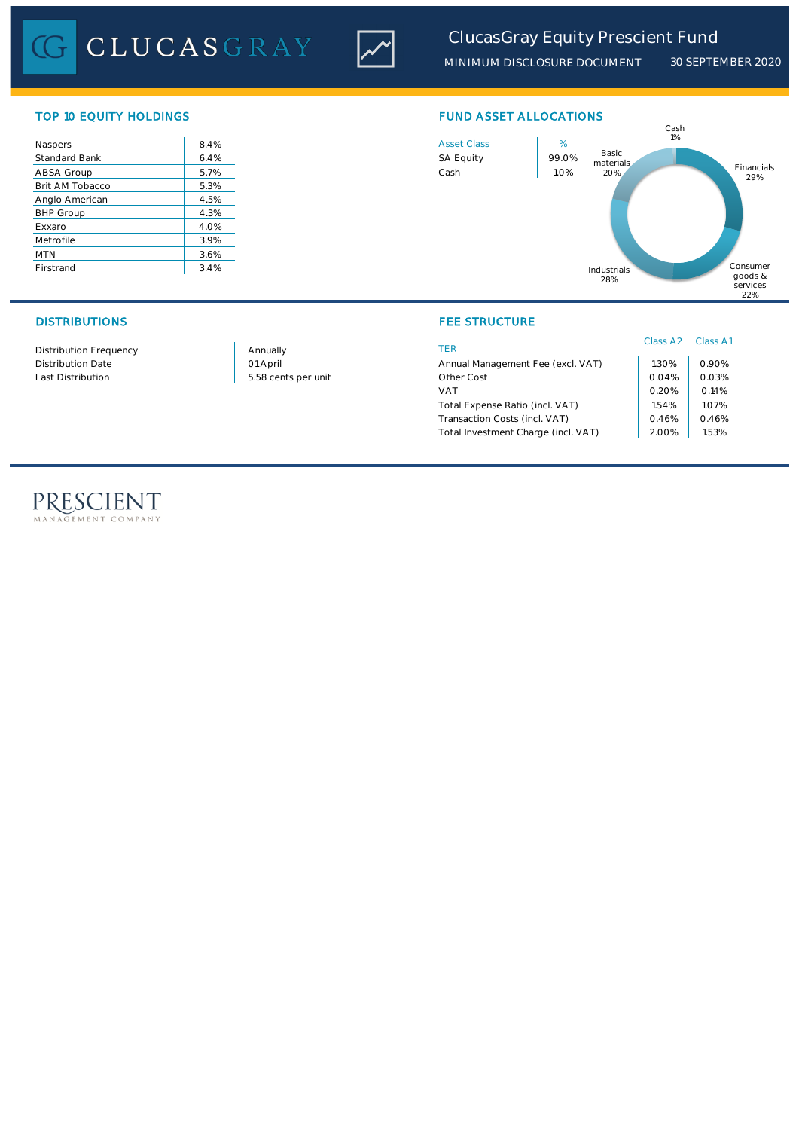

# *ClucasGray Equity Prescient Fund*

*MINIMUM DISCLOSURE DOCUMENT 30 SEPTEMBER 2020*

| Naspers              | 8.4% |
|----------------------|------|
| <b>Standard Bank</b> | 6.4% |
| ABSA Group           | 5.7% |
| Brit AM Tobacco      | 5.3% |
| Anglo American       | 4.5% |
| <b>BHP Group</b>     | 4.3% |
| Exxaro               | 4.0% |
| Metrofile            | 3.9% |
| <b>MTN</b>           | 3.6% |
| Firstrand            | 3.4% |

Distribution Frequency Distribution Date

Last Distribution 1.04% 0.04% 0.04% 0.04% 0.04% 0.04% 0.04% 0.04% 0.04% 0.04% 0.04% 0.04% 0.04% 0.04% 0.04% 0.0 01 April Annually

# TOP 10 EQUITY HOLDINGS FUND ASSET ALLOCATIONS



# DISTRIBUTIONS FEE STRUCTURE

| TFR                                 | Class A <sub>2</sub> Class A1 |       |
|-------------------------------------|-------------------------------|-------|
| Annual Management Fee (excl. VAT)   | 1.30%                         | 0.90% |
| Other Cost                          | 0.04%                         | 0.03% |
| VAT                                 | 0.20%                         | 0.14% |
| Total Expense Ratio (incl. VAT)     | 1.54%                         | 1.07% |
| Transaction Costs (incl. VAT)       | 0.46%                         | 0.46% |
| Total Investment Charge (incl. VAT) | 2.00%                         | 1.53% |